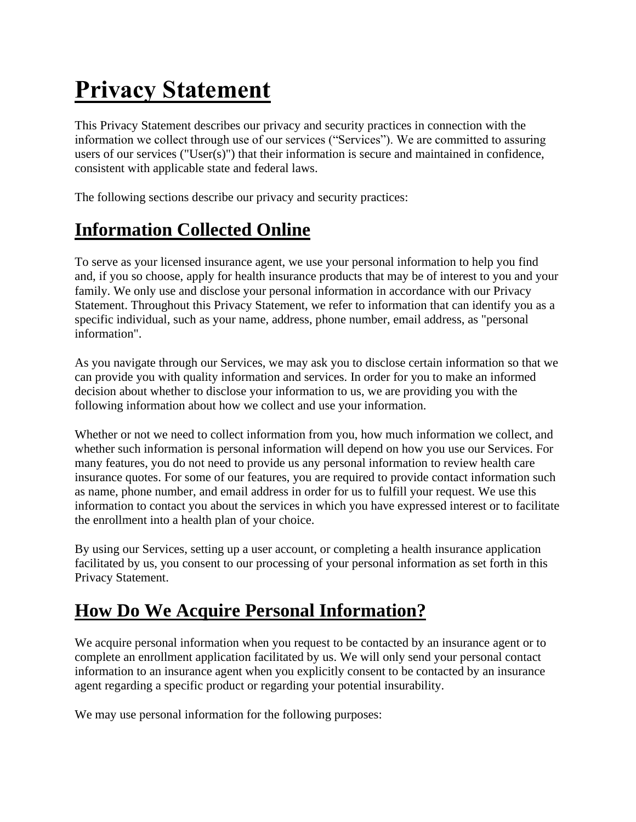# **Privacy Statement**

This Privacy Statement describes our privacy and security practices in connection with the information we collect through use of our services ("Services"). We are committed to assuring users of our services ("User(s)") that their information is secure and maintained in confidence, consistent with applicable state and federal laws.

The following sections describe our privacy and security practices:

### **Information Collected Online**

To serve as your licensed insurance agent, we use your personal information to help you find and, if you so choose, apply for health insurance products that may be of interest to you and your family. We only use and disclose your personal information in accordance with our Privacy Statement. Throughout this Privacy Statement, we refer to information that can identify you as a specific individual, such as your name, address, phone number, email address, as "personal information".

As you navigate through our Services, we may ask you to disclose certain information so that we can provide you with quality information and services. In order for you to make an informed decision about whether to disclose your information to us, we are providing you with the following information about how we collect and use your information.

Whether or not we need to collect information from you, how much information we collect, and whether such information is personal information will depend on how you use our Services. For many features, you do not need to provide us any personal information to review health care insurance quotes. For some of our features, you are required to provide contact information such as name, phone number, and email address in order for us to fulfill your request. We use this information to contact you about the services in which you have expressed interest or to facilitate the enrollment into a health plan of your choice.

By using our Services, setting up a user account, or completing a health insurance application facilitated by us, you consent to our processing of your personal information as set forth in this Privacy Statement.

#### **How Do We Acquire Personal Information?**

We acquire personal information when you request to be contacted by an insurance agent or to complete an enrollment application facilitated by us. We will only send your personal contact information to an insurance agent when you explicitly consent to be contacted by an insurance agent regarding a specific product or regarding your potential insurability.

We may use personal information for the following purposes: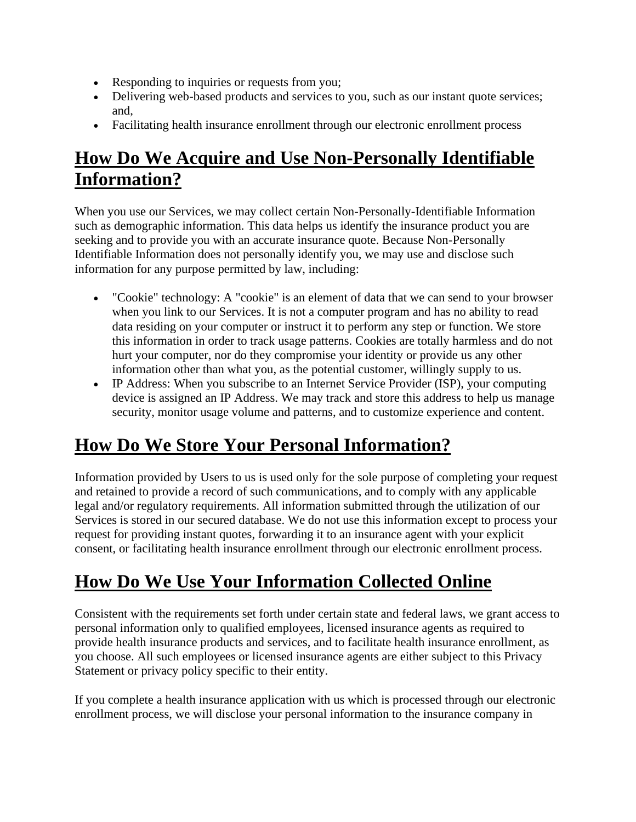- Responding to inquiries or requests from you;
- Delivering web-based products and services to you, such as our instant quote services; and,
- Facilitating health insurance enrollment through our electronic enrollment process

#### **How Do We Acquire and Use Non-Personally Identifiable Information?**

When you use our Services, we may collect certain Non-Personally-Identifiable Information such as demographic information. This data helps us identify the insurance product you are seeking and to provide you with an accurate insurance quote. Because Non-Personally Identifiable Information does not personally identify you, we may use and disclose such information for any purpose permitted by law, including:

- "Cookie" technology: A "cookie" is an element of data that we can send to your browser when you link to our Services. It is not a computer program and has no ability to read data residing on your computer or instruct it to perform any step or function. We store this information in order to track usage patterns. Cookies are totally harmless and do not hurt your computer, nor do they compromise your identity or provide us any other information other than what you, as the potential customer, willingly supply to us.
- IP Address: When you subscribe to an Internet Service Provider (ISP), your computing device is assigned an IP Address. We may track and store this address to help us manage security, monitor usage volume and patterns, and to customize experience and content.

# **How Do We Store Your Personal Information?**

Information provided by Users to us is used only for the sole purpose of completing your request and retained to provide a record of such communications, and to comply with any applicable legal and/or regulatory requirements. All information submitted through the utilization of our Services is stored in our secured database. We do not use this information except to process your request for providing instant quotes, forwarding it to an insurance agent with your explicit consent, or facilitating health insurance enrollment through our electronic enrollment process.

# **How Do We Use Your Information Collected Online**

Consistent with the requirements set forth under certain state and federal laws, we grant access to personal information only to qualified employees, licensed insurance agents as required to provide health insurance products and services, and to facilitate health insurance enrollment, as you choose. All such employees or licensed insurance agents are either subject to this Privacy Statement or privacy policy specific to their entity.

If you complete a health insurance application with us which is processed through our electronic enrollment process, we will disclose your personal information to the insurance company in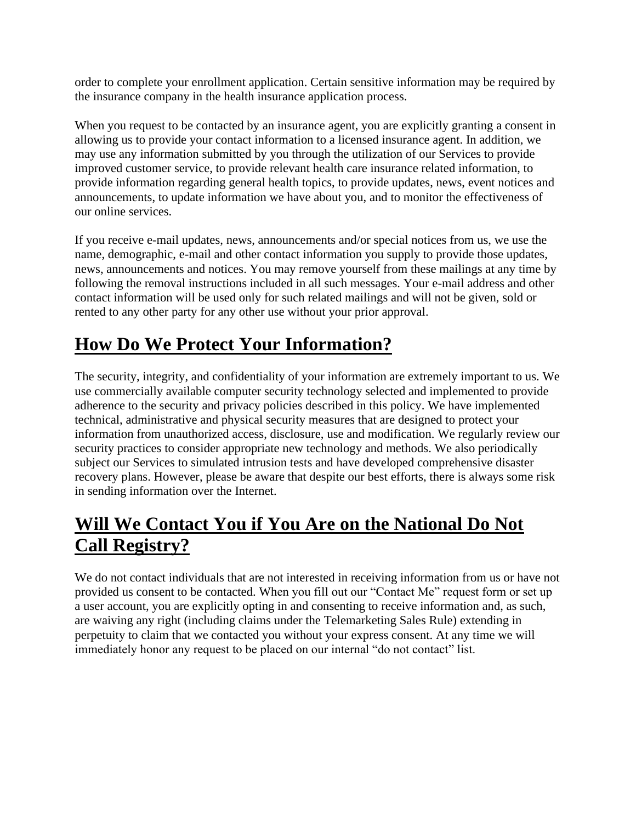order to complete your enrollment application. Certain sensitive information may be required by the insurance company in the health insurance application process.

When you request to be contacted by an insurance agent, you are explicitly granting a consent in allowing us to provide your contact information to a licensed insurance agent. In addition, we may use any information submitted by you through the utilization of our Services to provide improved customer service, to provide relevant health care insurance related information, to provide information regarding general health topics, to provide updates, news, event notices and announcements, to update information we have about you, and to monitor the effectiveness of our online services.

If you receive e-mail updates, news, announcements and/or special notices from us, we use the name, demographic, e-mail and other contact information you supply to provide those updates, news, announcements and notices. You may remove yourself from these mailings at any time by following the removal instructions included in all such messages. Your e-mail address and other contact information will be used only for such related mailings and will not be given, sold or rented to any other party for any other use without your prior approval.

## **How Do We Protect Your Information?**

The security, integrity, and confidentiality of your information are extremely important to us. We use commercially available computer security technology selected and implemented to provide adherence to the security and privacy policies described in this policy. We have implemented technical, administrative and physical security measures that are designed to protect your information from unauthorized access, disclosure, use and modification. We regularly review our security practices to consider appropriate new technology and methods. We also periodically subject our Services to simulated intrusion tests and have developed comprehensive disaster recovery plans. However, please be aware that despite our best efforts, there is always some risk in sending information over the Internet.

## **Will We Contact You if You Are on the National Do Not Call Registry?**

We do not contact individuals that are not interested in receiving information from us or have not provided us consent to be contacted. When you fill out our "Contact Me" request form or set up a user account, you are explicitly opting in and consenting to receive information and, as such, are waiving any right (including claims under the Telemarketing Sales Rule) extending in perpetuity to claim that we contacted you without your express consent. At any time we will immediately honor any request to be placed on our internal "do not contact" list.